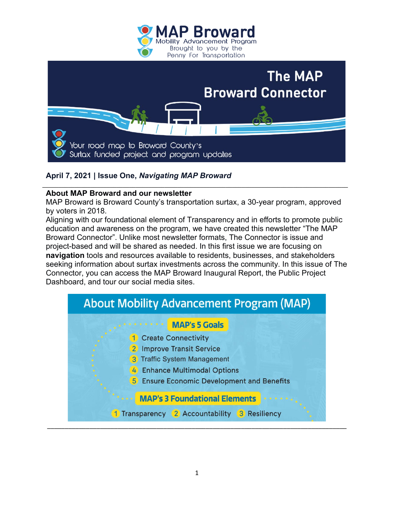



## **April 7, 2021 | Issue One,** *Navigating MAP Broward*

## **About MAP Broward and our newsletter**

MAP Broward is Broward County's transportation surtax, a 30-year program, approved by voters in 2018.

**\_\_\_\_\_\_\_\_\_\_\_\_\_\_\_\_\_\_\_\_\_\_\_\_\_\_\_\_\_\_\_\_\_\_\_\_\_\_\_\_\_\_\_\_\_\_\_\_\_\_\_\_\_\_\_\_\_\_\_\_\_\_\_\_\_\_\_\_\_\_\_\_\_\_\_\_\_\_\_\_\_\_\_\_\_\_\_\_\_\_\_\_\_\_\_**

Aligning with our foundational element of Transparency and in efforts to promote public education and awareness on the program, we have created this newsletter "The MAP Broward Connector". Unlike most newsletter formats, The Connector is issue and project-based and will be shared as needed. In this first issue we are focusing on **navigation** tools and resources available to residents, businesses, and stakeholders seeking information about surtax investments across the community. In this issue of The Connector, you can access the MAP Broward Inaugural Report, the Public Project Dashboard, and tour our social media sites.

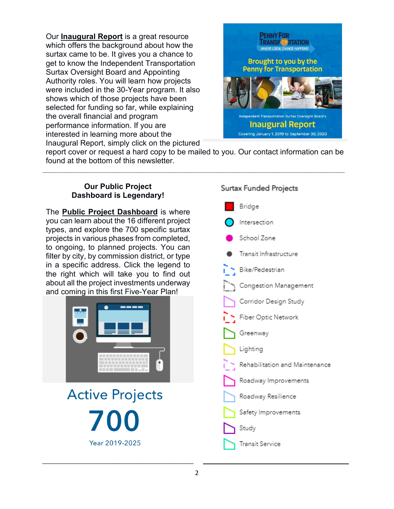Our **[Inaugural Report](https://www.broward.org/PennyForTransportation/Transparency/Pages/InauguralReport.aspx)** is a great resource which offers the background about how the surtax came to be. It gives you a chance to get to know the Independent Transportation Surtax Oversight Board and Appointing Authority roles. You will learn how projects were included in the 30-Year program. It also shows which of those projects have been selected for funding so far, while explaining the overall financial and program performance information. If you are interested in learning more about the Inaugural Report, simply click on the pictured



report cover or request a hard copy to be mailed to you. Our contact information can be found at the bottom of this newsletter.

 $\mathcal{L}_\mathcal{L} = \{ \mathcal{L}_\mathcal{L} = \{ \mathcal{L}_\mathcal{L} = \{ \mathcal{L}_\mathcal{L} = \{ \mathcal{L}_\mathcal{L} = \{ \mathcal{L}_\mathcal{L} = \{ \mathcal{L}_\mathcal{L} = \{ \mathcal{L}_\mathcal{L} = \{ \mathcal{L}_\mathcal{L} = \{ \mathcal{L}_\mathcal{L} = \{ \mathcal{L}_\mathcal{L} = \{ \mathcal{L}_\mathcal{L} = \{ \mathcal{L}_\mathcal{L} = \{ \mathcal{L}_\mathcal{L} = \{ \mathcal{L}_\mathcal{$ 

## **Our Public Project Dashboard is Legendary!**

The **[Public Project Dashboard](https://experience.arcgis.com/experience/20fc2618ab2a41e5b40fa8f2d15f3bbc)** is where you can learn about the 16 different project types, and explore the 700 specific surtax projects in various phases from completed, to ongoing, to planned projects. You can filter by city, by commission district, or type in a specific address. Click the legend to the right which will take you to find out about all the project investments underway and c[oming in this first Five-Year Pla](https://experience.arcgis.com/experience/20fc2618ab2a41e5b40fa8f2d15f3bbc)n!



**Active Projects** Year 2019-2025

**\_\_\_\_\_\_\_\_\_\_\_\_\_\_\_\_\_\_\_\_\_\_\_\_\_\_\_\_\_\_\_\_\_\_\_\_\_\_\_\_\_\_\_\_\_\_\_**

## **Surtax Funded Projects**